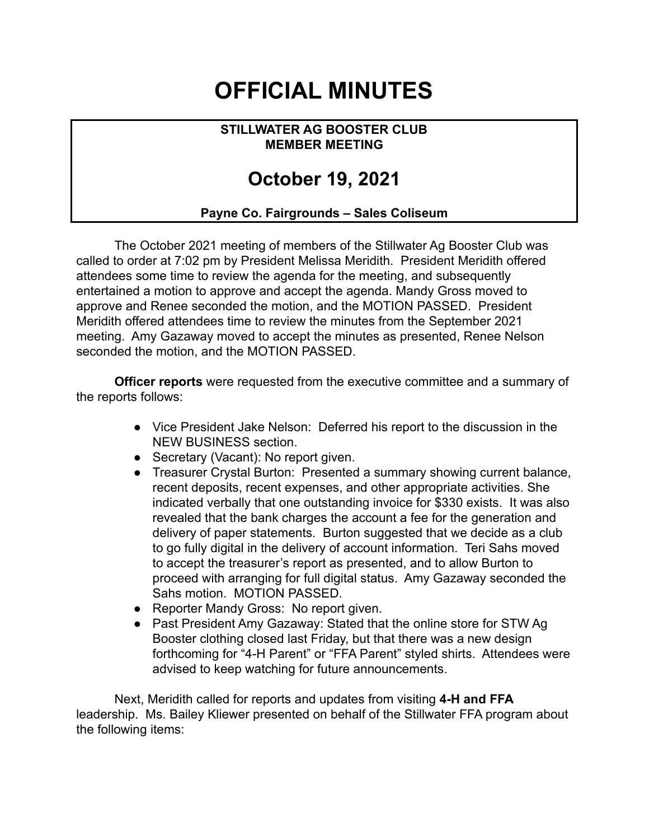## **OFFICIAL MINUTES**

## **STILLWATER AG BOOSTER CLUB MEMBER MEETING**

## **October 19, 2021**

## **Payne Co. Fairgrounds – Sales Coliseum**

The October 2021 meeting of members of the Stillwater Ag Booster Club was called to order at 7:02 pm by President Melissa Meridith. President Meridith offered attendees some time to review the agenda for the meeting, and subsequently entertained a motion to approve and accept the agenda. Mandy Gross moved to approve and Renee seconded the motion, and the MOTION PASSED. President Meridith offered attendees time to review the minutes from the September 2021 meeting. Amy Gazaway moved to accept the minutes as presented, Renee Nelson seconded the motion, and the MOTION PASSED.

**Officer reports** were requested from the executive committee and a summary of the reports follows:

- Vice President Jake Nelson: Deferred his report to the discussion in the NEW BUSINESS section.
- Secretary (Vacant): No report given.
- Treasurer Crystal Burton: Presented a summary showing current balance, recent deposits, recent expenses, and other appropriate activities. She indicated verbally that one outstanding invoice for \$330 exists. It was also revealed that the bank charges the account a fee for the generation and delivery of paper statements. Burton suggested that we decide as a club to go fully digital in the delivery of account information. Teri Sahs moved to accept the treasurer's report as presented, and to allow Burton to proceed with arranging for full digital status. Amy Gazaway seconded the Sahs motion. MOTION PASSED.
- Reporter Mandy Gross: No report given.
- Past President Amy Gazaway: Stated that the online store for STW Ag Booster clothing closed last Friday, but that there was a new design forthcoming for "4-H Parent" or "FFA Parent" styled shirts. Attendees were advised to keep watching for future announcements.

Next, Meridith called for reports and updates from visiting **4-H and FFA** leadership. Ms. Bailey Kliewer presented on behalf of the Stillwater FFA program about the following items: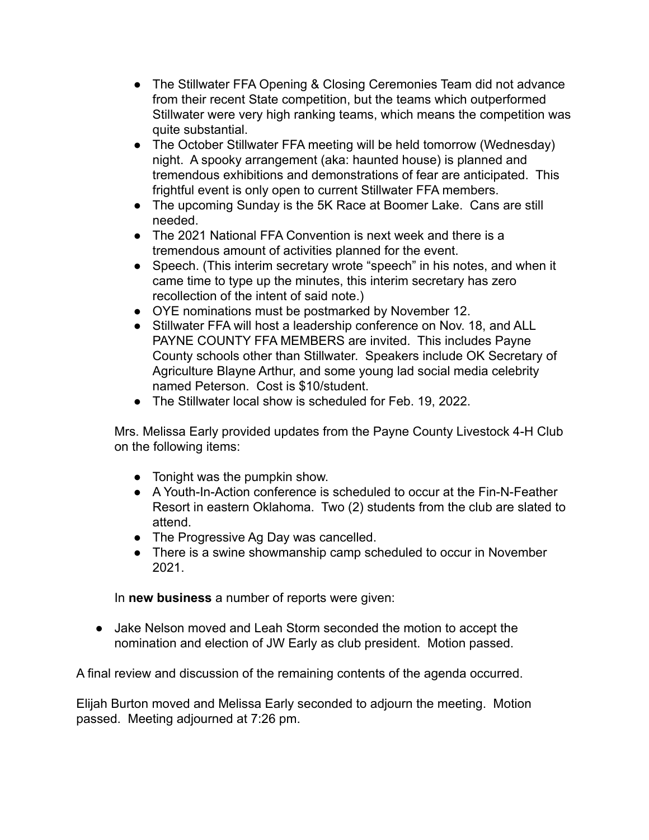- The Stillwater FFA Opening & Closing Ceremonies Team did not advance from their recent State competition, but the teams which outperformed Stillwater were very high ranking teams, which means the competition was quite substantial.
- The October Stillwater FFA meeting will be held tomorrow (Wednesday) night. A spooky arrangement (aka: haunted house) is planned and tremendous exhibitions and demonstrations of fear are anticipated. This frightful event is only open to current Stillwater FFA members.
- The upcoming Sunday is the 5K Race at Boomer Lake. Cans are still needed.
- The 2021 National FFA Convention is next week and there is a tremendous amount of activities planned for the event.
- Speech. (This interim secretary wrote "speech" in his notes, and when it came time to type up the minutes, this interim secretary has zero recollection of the intent of said note.)
- OYE nominations must be postmarked by November 12.
- Stillwater FFA will host a leadership conference on Nov. 18, and ALL PAYNE COUNTY FFA MEMBERS are invited. This includes Payne County schools other than Stillwater. Speakers include OK Secretary of Agriculture Blayne Arthur, and some young lad social media celebrity named Peterson. Cost is \$10/student.
- The Stillwater local show is scheduled for Feb. 19, 2022.

Mrs. Melissa Early provided updates from the Payne County Livestock 4-H Club on the following items:

- Tonight was the pumpkin show.
- A Youth-In-Action conference is scheduled to occur at the Fin-N-Feather Resort in eastern Oklahoma. Two (2) students from the club are slated to attend.
- The Progressive Ag Day was cancelled.
- There is a swine showmanship camp scheduled to occur in November 2021.

In **new business** a number of reports were given:

• Jake Nelson moved and Leah Storm seconded the motion to accept the nomination and election of JW Early as club president. Motion passed.

A final review and discussion of the remaining contents of the agenda occurred.

Elijah Burton moved and Melissa Early seconded to adjourn the meeting. Motion passed. Meeting adjourned at 7:26 pm.